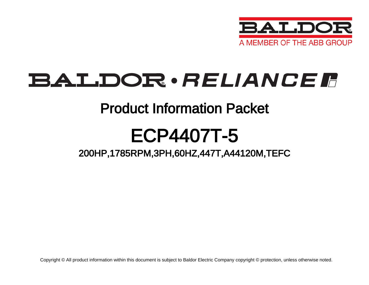

# **BALDOR**·RELIANCER

## Product Information Packet

# ECP4407T-5

## 200HP,1785RPM,3PH,60HZ,447T,A44120M,TEFC

Copyright © All product information within this document is subject to Baldor Electric Company copyright © protection, unless otherwise noted.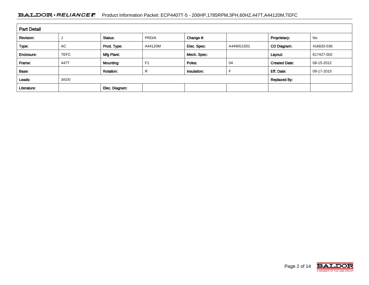### BALDOR · RELIANCE F Product Information Packet: ECP4407T-5 - 200HP,1785RPM,3PH,60HZ,447T,A44120M,TEFC

| <b>Part Detail</b> |             |                  |                |             |           |                      |            |
|--------------------|-------------|------------------|----------------|-------------|-----------|----------------------|------------|
| Revision:          |             | Status:          | PRD/A          | Change #:   |           | Proprietary:         | No         |
| Type:              | <b>AC</b>   | Prod. Type:      | A44120M        | Elec. Spec: | A44WG1501 | CD Diagram:          | 416820-036 |
| Enclosure:         | <b>TEFC</b> | Mfg Plant:       |                | Mech. Spec: |           | Layout:              | 617427-002 |
| Frame:             | 447T        | Mounting:        | F <sub>1</sub> | Poles:      | 04        | <b>Created Date:</b> | 08-15-2012 |
| Base:              |             | <b>Rotation:</b> | R              | Insulation: |           | Eff. Date:           | 09-17-2015 |
| Leads:             | 3#2/0       |                  |                |             |           | <b>Replaced By:</b>  |            |
| Literature:        |             | Elec. Diagram:   |                |             |           |                      |            |

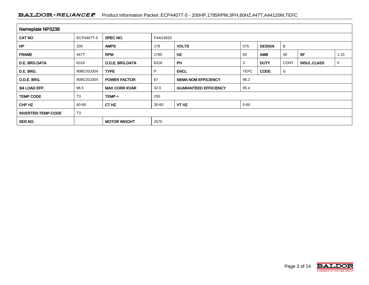### BALDOR · RELIANCE F Product Information Packet: ECP4407T-5 - 200HP,1785RPM,3PH,60HZ,447T,A44120M,TEFC

| Nameplate NP3238          |                |                      |          |                              |             |               |             |                    |      |  |  |  |  |  |  |
|---------------------------|----------------|----------------------|----------|------------------------------|-------------|---------------|-------------|--------------------|------|--|--|--|--|--|--|
| <b>CAT NO</b>             | ECP4407T-5     | SPEC NO.             | P44G3933 |                              |             |               |             |                    |      |  |  |  |  |  |  |
| <b>HP</b>                 | 200            | <b>AMPS</b>          | 178      | <b>VOLTS</b>                 | 575         | <b>DESIGN</b> | B           |                    |      |  |  |  |  |  |  |
| <b>FRAME</b>              | 447T           | <b>RPM</b>           | 1785     | HZ                           | 60          | <b>AMB</b>    | 40          | <b>SF</b>          | 1.15 |  |  |  |  |  |  |
| D.E. BRG.DATA             | 6318           | O.D.E. BRG.DATA      | 6318     | <b>PH</b>                    | 3           | <b>DUTY</b>   | <b>CONT</b> | <b>INSUL.CLASS</b> | F    |  |  |  |  |  |  |
| D.E. BRG.                 | 90BC03J30X     | <b>TYPE</b>          | P.       | <b>ENCL</b>                  | <b>TEFC</b> | <b>CODE</b>   | G           |                    |      |  |  |  |  |  |  |
| O.D.E. BRG.               | 90BC03J30X     | <b>POWER FACTOR</b>  | 87       | <b>NEMA NOM EFFICIENCY</b>   | 96.2        |               |             |                    |      |  |  |  |  |  |  |
| 3/4 LOAD EFF.             | 96.5           | <b>MAX CORR KVAR</b> | 32.0     | <b>GUARANTEED EFFICIENCY</b> | 95.4        |               |             |                    |      |  |  |  |  |  |  |
| <b>TEMP CODE</b>          | T <sub>3</sub> | $TEMP =$             | 200      |                              |             |               |             |                    |      |  |  |  |  |  |  |
| CHP HZ                    | 60-90          | CT HZ                | 30-60    | VT HZ                        | $0 - 60$    |               |             |                    |      |  |  |  |  |  |  |
| <b>INVERTER-TEMP-CODE</b> | T <sub>3</sub> |                      |          |                              |             |               |             |                    |      |  |  |  |  |  |  |
| SER.NO.                   |                | <b>MOTOR WEIGHT</b>  | 2570     |                              |             |               |             |                    |      |  |  |  |  |  |  |

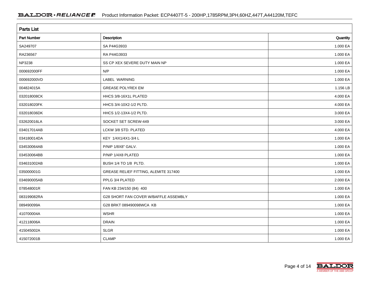| <b>Parts List</b> |                                       |          |
|-------------------|---------------------------------------|----------|
| Part Number       | Description                           | Quantity |
| SA249707          | SA P44G3933                           | 1.000 EA |
| RA236567          | RA P44G3933                           | 1.000 EA |
| NP3238            | SS CP XEX SEVERE DUTY MAIN NP         | 1.000 EA |
| 000692000FF       | N/P                                   | 1.000 EA |
| 000692000VD       | LABEL WARNING                         | 1.000 EA |
| 004824015A        | <b>GREASE POLYREX EM</b>              | 1.156 LB |
| 032018008CK       | HHCS 3/8-16X1L PLATED                 | 4.000 EA |
| 032018020FK       | HHCS 3/4-10X2-1/2 PLTD.               | 4.000 EA |
| 032018036DK       | HHCS 1/2-13X4-1/2 PLTD.               | 3.000 EA |
| 032620016LA       | SOCKET SET SCREW-449                  | 3.000 EA |
| 034017014AB       | LCKW 3/8 STD. PLATED                  | 4.000 EA |
| 034180014DA       | KEY 1/4X1/4X1-3/4 L                   | 1.000 EA |
| 034530064AB       | P/NIP 1/8X8" GALV.                    | 1.000 EA |
| 034530064BB       | P/NIP 1/4X8 PLATED                    | 1.000 EA |
| 034631002AB       | BUSH 1/4 TO 1/8 PLTD.                 | 1.000 EA |
| 035000001G        | GREASE RELIEF FITTING, ALEMITE 317400 | 1.000 EA |
| 034690005AB       | PPLG 3/4 PLATED                       | 2.000 EA |
| 078548001R        | FAN KB 234/150 (84) 400               | 1.000 EA |
| 083199082RA       | G28 SHORT FAN COVER W/BAFFLE ASSEMBLY | 1.000 EA |
| 089490099A        | G28 BRKT 089490098WCA KB              | 1.000 EA |
| 410700004A        | <b>WSHR</b>                           | 1.000 EA |
| 412118006A        | <b>DRAIN</b>                          | 1.000 EA |
| 415045002A        | <b>SLGR</b>                           | 1.000 EA |
| 415072001B        | <b>CLAMP</b>                          | 1.000 EA |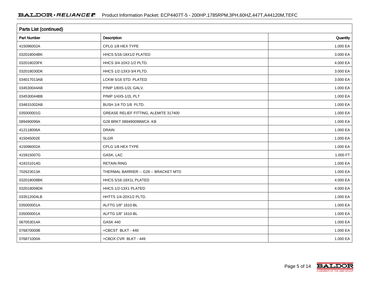| <b>Parts List (continued)</b> |                                       |          |
|-------------------------------|---------------------------------------|----------|
| <b>Part Number</b>            | Description                           | Quantity |
| 415096002A                    | CPLG 1/8 HEX TYPE                     | 1.000 EA |
| 032018004BK                   | HHCS 5/16-18X1/2 PLATED               | 3.000 EA |
| 032018020FK                   | HHCS 3/4-10X2-1/2 PLTD.               | 4.000 EA |
| 032018030DK                   | HHCS 1/2-13X3-3/4 PLTD.               | 3.000 EA |
| 034017013AB                   | LCKW 5/16 STD. PLATED                 | 3.000 EA |
| 034530044AB                   | P/NIP 1/8X5-1/2L GALV.                | 1.000 EA |
| 034530044BB                   | P/NIP 1/4X5-1/2L PLT                  | 1.000 EA |
| 034631002AB                   | BUSH 1/4 TO 1/8 PLTD.                 | 1.000 EA |
| 035000001G                    | GREASE RELIEF FITTING, ALEMITE 317400 | 1.000 EA |
| 089490099A                    | G28 BRKT 089490098WCA KB              | 1.000 EA |
| 412118006A                    | <b>DRAIN</b>                          | 1.000 EA |
| 415045002E                    | <b>SLGR</b>                           | 1.000 EA |
| 415096002A                    | CPLG 1/8 HEX TYPE                     | 1.000 EA |
| 415915007G                    | GASK, LAC                             | 1.000 FT |
| 418151014G                    | <b>RETAIN RING</b>                    | 1.000 EA |
| 702623013A                    | THERMAL BARRIER -- G28 -- BRACKET MTD | 1.000 EA |
| 032018008BK                   | HHCS 5/16-18X1L PLATED                | 4.000 EA |
| 032018008DK                   | HHCS 1/2-13X1 PLATED                  | 4.000 EA |
| 033512004LB                   | HHTTS 1/4-20X1/2 PLTD.                | 1.000 EA |
| 035000001A                    | ALFTG 1/8" 1610-BL                    | 1.000 EA |
| 035000001A                    | ALFTG 1/8" 1610-BL                    | 1.000 EA |
| 067053014A                    | <b>GASK 440</b>                       | 1.000 EA |
| 076870000B                    | +CBCST BLKT - 440                     | 1.000 EA |
| 076871000A                    | +CBOX CVR BLKT - 449                  | 1.000 EA |

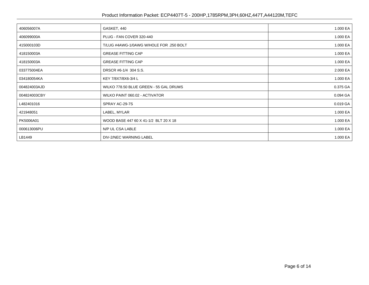### Product Information Packet: ECP4407T-5 - 200HP,1785RPM,3PH,60HZ,447T,A44120M,TEFC

| 406056007A   | GASKET, 440                             | 1.000 EA |
|--------------|-----------------------------------------|----------|
| 406099000A   | PLUG - FAN COVER 320-440                | 1.000 EA |
| 415000103D   | T/LUG #4AWG-1/0AWG W/HOLE FOR .250 BOLT | 1.000 EA |
| 418150003A   | <b>GREASE FITTING CAP</b>               | 1.000 EA |
| 418150003A   | <b>GREASE FITTING CAP</b>               | 1.000 EA |
| 033775004EA  | DRSCR #6-1/4 304 S.S.                   | 2.000 EA |
| 034180054KA  | KEY 7/8X7/8X6-3/4 L                     | 1.000 EA |
| 004824003AJD | WILKO 778.50 BLUE GREEN - 55 GAL DRUMS  | 0.375 GA |
| 004824003CBY | WILKO PAINT 060.02 - ACTIVATOR          | 0.094 GA |
| L482401016   | SPRAY AC-29-7S                          | 0.019 GA |
| 421948051    | LABEL, MYLAR                            | 1.000 EA |
| PK5006A01    | WOOD BASE 447 60 X 41-1/2 BLT 20 X 18   | 1.000 EA |
| 000613006PU  | N/P UL CSA LABLE                        | 1.000 EA |
| LB1449       | DIV-2/NEC WARNING LABEL                 | 1.000 EA |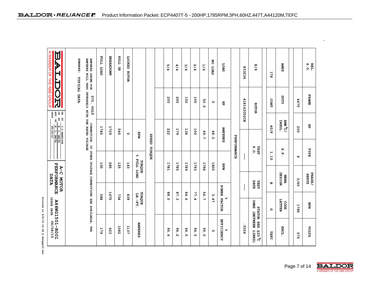Printed on 6/8/15 14:46 @ bengap01.bal

| A MEMBER OF THE ABB GROUP<br>ĮØ<br><b>TTOJ</b><br><b>TTDd</b><br><b>BREAKDOWN</b><br>LOCKED<br><b>AMPERES</b><br><b>AMPERES</b><br><b>REMARKS:</b><br>NO LOAD<br>$\mathbf{P}$<br><b>LOAD</b><br>5/4<br>4/4<br>3/4<br>1/4<br>2/4<br>E/S<br>នូ<br>833236<br><b>LOAD</b>                                                  | 178 |  | <b>AMP S</b>                 |      | $\begin{array}{c} \mathbf{R} \mathbf{L} \mathbf{L} \\ \mathbf{S} \cdot \mathbf{O} \end{array}.$ |
|------------------------------------------------------------------------------------------------------------------------------------------------------------------------------------------------------------------------------------------------------------------------------------------------------------------------|-----|--|------------------------------|------|-------------------------------------------------------------------------------------------------|
| <b>ROTOR</b><br>SHOWN FOR<br>WILL VARY                                                                                                                                                                                                                                                                                 |     |  |                              |      |                                                                                                 |
| TYPICAL DATA<br>-<br>100因<br>575.<br>250<br>200<br>150<br>100<br>418143052CE<br>CONT<br>50.0<br>$\circ$<br>肖<br><b>ROTOR</b><br><b>LTOA</b>                                                                                                                                                                            |     |  | <b>TTUCK</b>                 | 447T | FRAME                                                                                           |
| $\begin{array}{c} \mathtt{BN.} \mathtt{BY} \\ \mathtt{QK.} \mathtt{BY} \\ \mathtt{APP.} \mathtt{BY} \\ \mathtt{DATE} \end{array}$<br>W. L. SMITH<br>40/F<br>J. J. HARRISON<br>W. L. SMITH<br>08/26/10<br>1785<br>1729<br><b>AMPERES</b><br>179<br>540<br>222<br>138<br>100<br>69.7<br>48.3<br>Rex<br>$\circ$           |     |  | INSUL.<br>$\frac{10}{2}$ and | 200  | 哥                                                                                               |
| 5/19. VOLT<br>INVERSELY WITH THE RATED VOLTAGE<br>INVERSELY WITH THE RATED VOLTAGE<br><b>CEEES</b><br>PERFORMANCE<br>S.O.<br><b>TESTI</b><br>TORQUE<br>1.15<br>olo<br>ŀ                                                                                                                                                |     |  | S.F.                         | Ю    | ESPE                                                                                            |
| <b>TIDE</b><br>TORQUE<br>143<br>100<br>285<br>1781<br>1785<br>1789<br>1793<br>1800<br>125<br>1796<br>PERFORMANCE<br>REPM<br>$A-C$<br><b>LOAD</b><br>DATA<br>MOTOR<br>DATE<br>TESTI<br>ω                                                                                                                                |     |  | DESIGN<br><b>WENA</b>        | 3/60 | <b>PHASE/</b><br>HERTZ                                                                          |
| POWER FACTOR<br>1675<br>88.0<br>87.3<br>84.6<br>56.7<br>77.4<br>TORQUE<br>La <sub>.</sub> -rr<br>3.47<br>885<br>734<br>839<br>olo                                                                                                                                                                                      |     |  |                              |      |                                                                                                 |
| <b>ISSUE DATE</b><br>ດ                                                                                                                                                                                                                                                                                                 |     |  | LETTER<br>CODE               | 1785 | RЭ                                                                                              |
| <b>A44WG1501-R001</b><br>88UE DATE 06/08/15<br>OHMS (BETWEEN LINES)<br>STATOR RES. @25 ºC<br>EFFICIENCY<br><b>AMPERES</b><br>-0326<br>HHI<br>1137<br>1082<br>179<br>623<br>96<br>ە<br>5<br>96<br>96<br>95.0<br>olo<br>$\circ$<br><b>TEFC</b><br>$\frac{1}{2}$<br>$\bullet$<br>$\frac{1}{\mathsf{N}}$<br>ഐ<br><b>UT</b> |     |  | ENCL.                        | 575  | <b>VOLTS</b>                                                                                    |

BALDOR · RELIANCE F Product Information Packet: ECP4407T-5 - 200HP,1785RPM,3PH,60HZ,447T,A44120M,TEFC



e x t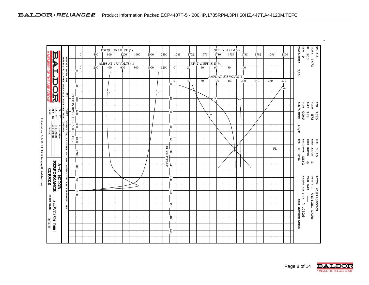|                                                                                                                                                                                                                                                                           |                            |                                                 |     | TORQUE IN LB. FT. (2) |      |      |      |                          |                                                                              |      |      |      |   | SPEED IN RPM (4)       |     |      |          |     |      |      |                  |                      | ij<br>FRAME<br>ESPE                          | <b>REL S.O.</b> |
|---------------------------------------------------------------------------------------------------------------------------------------------------------------------------------------------------------------------------------------------------------------------------|----------------------------|-------------------------------------------------|-----|-----------------------|------|------|------|--------------------------|------------------------------------------------------------------------------|------|------|------|---|------------------------|-----|------|----------|-----|------|------|------------------|----------------------|----------------------------------------------|-----------------|
|                                                                                                                                                                                                                                                                           |                            | $\overline{0}$                                  | 400 | 800                   | 1200 | 1600 | 2000 | 2400                     |                                                                              | 1768 | 1772 | 1776 |   | 1780                   |     | 1784 | 1788     |     | 1792 | 1796 | 1800             | PHASE/HERTZ          | 200<br>IJ                                    |                 |
| MEMBER OF THE ABB GROUP<br><b>AREESS SHOWN FOR THE SECTION AREAS SHOWN FOR THE SAME SHOW CONNECTION</b> . IF <b>A REPORT OF THE SHOW AND SHOW THAT SHOW ARE SHOWN THAT A REPORT OF THE SHOW AND SHOW THAT SHOW THAT SHOW A REPORT OF THE SHOW THAT SHOW THE SHOW</b><br>Þ |                            |                                                 |     | AMPS AT 575 VOLTS (1) |      |      |      |                          |                                                                              |      |      |      |   | P.F.(2) & EFF.(3) IN % |     |      |          |     |      |      |                  |                      | 447T                                         |                 |
|                                                                                                                                                                                                                                                                           |                            | $\overline{0}$<br>$\overline{\bullet}$          | 200 | 400                   | 600  | 800  | 1000 | 1200                     | $\mathbf{0}$                                                                 |      | 20   | 40   |   | 60                     | 80  |      | 100      |     |      |      |                  |                      |                                              |                 |
|                                                                                                                                                                                                                                                                           |                            |                                                 |     |                       |      |      |      |                          |                                                                              |      |      |      |   | AMPS AT 575 VOLTS (1)  |     |      |          |     |      |      |                  | 3/60                 |                                              |                 |
|                                                                                                                                                                                                                                                                           |                            | 200                                             |     |                       |      |      |      |                          | $\mathbf{0}$<br>$\circ$                                                      |      | 40   | 80   |   | 120                    | 160 |      | 200      | 240 |      | 280  | 320              |                      |                                              |                 |
| し<br>DC<br>取                                                                                                                                                                                                                                                              |                            |                                                 |     | $\sim$                |      |      |      | $\overline{\phantom{0}}$ |                                                                              |      |      |      |   |                        |     |      |          |     |      |      | $\blacktriangle$ |                      |                                              |                 |
|                                                                                                                                                                                                                                                                           |                            | SPEED IN RPM, $(F\Gamma) = 588$ LB. FT.)<br>400 |     |                       |      |      |      |                          | $\ddot{\phantom{0}}$                                                         |      |      |      |   | N                      |     |      | $\omega$ |     |      |      |                  |                      |                                              |                 |
|                                                                                                                                                                                                                                                                           |                            |                                                 |     |                       |      |      |      |                          |                                                                              |      |      |      |   |                        |     |      |          |     |      |      |                  |                      | <b>ALOO</b><br><b>RAIPS</b><br>SLTOA         | Næ              |
|                                                                                                                                                                                                                                                                           |                            | $^{000}$                                        |     |                       |      |      |      |                          | $_{08}$                                                                      |      |      |      |   |                        |     |      |          |     |      |      |                  | $\text{max}$ /1881/  |                                              |                 |
| APP. BY<br>DATE                                                                                                                                                                                                                                                           |                            |                                                 |     |                       |      |      |      |                          |                                                                              |      |      |      | ÷ |                        |     |      |          |     |      |      |                  |                      | CONT<br>$275$<br>178                         | 1785            |
|                                                                                                                                                                                                                                                                           |                            | 008                                             |     |                       |      |      |      |                          | 120                                                                          |      |      |      |   |                        |     |      |          |     |      |      |                  |                      |                                              |                 |
| W. L. SMITH<br>08/26/10                                                                                                                                                                                                                                                   |                            |                                                 |     |                       |      |      |      |                          |                                                                              |      |      |      |   |                        |     |      |          |     |      |      |                  | 40/F                 |                                              |                 |
|                                                                                                                                                                                                                                                                           |                            | 1000                                            |     |                       |      |      |      |                          | $\overline{160}$                                                             |      |      |      |   |                        |     |      |          |     |      |      |                  |                      |                                              |                 |
|                                                                                                                                                                                                                                                                           |                            |                                                 |     |                       |      |      |      |                          |                                                                              |      |      |      |   |                        |     |      |          |     |      |      |                  | E/2                  | NEWS DESIGN<br>ENCLOSURE TEFC<br>CODE LETTER | S.E.            |
|                                                                                                                                                                                                                                                                           | OTHER VOLTAGE              | 1200                                            |     |                       |      |      |      |                          |                                                                              |      |      |      |   |                        |     |      |          |     |      | FL   |                  |                      |                                              | 1.15            |
|                                                                                                                                                                                                                                                                           |                            |                                                 |     |                       |      |      |      |                          |                                                                              |      |      |      |   |                        |     |      |          |     |      |      |                  | 833236               |                                              |                 |
| <b>PERFORMANCE</b>                                                                                                                                                                                                                                                        |                            | 1400                                            |     |                       |      |      |      |                          | $\begin{tabular}{c c} 200 & 240 \\ \hline 200 & 240 \\ \hline \end{tabular}$ |      |      |      |   |                        |     |      |          |     |      |      |                  |                      | ດ ພ                                          |                 |
| $A-C$                                                                                                                                                                                                                                                                     | CONNECTIONS ARE AVAILABLE, |                                                 |     |                       |      |      |      |                          |                                                                              |      |      |      |   |                        |     |      |          |     |      |      |                  |                      |                                              |                 |
| <b>CURVES</b><br><b>NOTOR</b>                                                                                                                                                                                                                                             |                            | 1600                                            |     |                       |      |      |      |                          | 280                                                                          |      |      |      |   |                        |     |      |          |     |      |      |                  |                      |                                              | <b>ROTOR</b>    |
|                                                                                                                                                                                                                                                                           |                            |                                                 |     |                       |      |      |      |                          |                                                                              |      |      |      |   |                        |     |      |          |     |      |      |                  |                      | STATOR RES. @ 25<br>TEST DATE<br>TEST S.O.   |                 |
|                                                                                                                                                                                                                                                                           |                            | 1800                                            |     |                       |      |      |      |                          | 320                                                                          |      |      |      |   |                        |     |      |          |     |      |      |                  |                      |                                              | 418143052CE     |
|                                                                                                                                                                                                                                                                           |                            |                                                 |     |                       |      |      |      |                          |                                                                              |      |      |      |   |                        |     |      |          |     |      |      |                  |                      | TYPICAL DATA                                 |                 |
| <b>ISSUE DATE</b>                                                                                                                                                                                                                                                         | H<br>H                     |                                                 |     |                       |      |      |      |                          | 360                                                                          |      |      |      |   |                        |     |      |          |     |      |      |                  |                      | റീ                                           |                 |
|                                                                                                                                                                                                                                                                           |                            |                                                 |     |                       |      |      |      |                          |                                                                              |      |      |      |   |                        |     |      |          |     |      |      |                  |                      | .0326                                        |                 |
|                                                                                                                                                                                                                                                                           |                            |                                                 |     |                       |      |      |      |                          | 400                                                                          |      |      |      |   |                        |     |      |          |     |      |      |                  |                      |                                              |                 |
| <b>A44WG1501-R001</b><br>06/08/15                                                                                                                                                                                                                                         |                            |                                                 |     |                       |      |      |      |                          |                                                                              |      |      |      |   |                        |     |      |          |     |      |      |                  | OHMS (BETWEEN LINES) |                                              |                 |
|                                                                                                                                                                                                                                                                           |                            |                                                 |     |                       |      |      |      |                          | 440                                                                          |      |      |      |   |                        |     |      |          |     |      |      |                  |                      |                                              |                 |
|                                                                                                                                                                                                                                                                           |                            |                                                 |     |                       |      |      |      |                          |                                                                              |      |      |      |   |                        |     |      |          |     |      |      |                  |                      |                                              |                 |

**P rinted o n 6 / 8 / 1 5 1 4 : 4 6 @bengap01.ba1dor.com** 



e x t

v.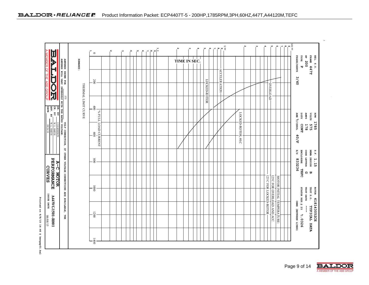| Щ                                        |                                                  |                     | $\circ$             | $\mathbf w$ | $\pmb{\omega}$ | A | $\sigma$<br>ŗσι | $\mathbf{z}$ | $\overset{\text{d}}{\circ} \overset{\circ}{  \circ \,  } \overset{\text{d}}{\circ}$ |              |  |              |                      | $\frac{1}{\sqrt{2}}$ |                    |  |                                                       |                          | $\frac{10}{10}$ |                                          | FRAME                        |             |
|------------------------------------------|--------------------------------------------------|---------------------|---------------------|-------------|----------------|---|-----------------|--------------|-------------------------------------------------------------------------------------|--------------|--|--------------|----------------------|----------------------|--------------------|--|-------------------------------------------------------|--------------------------|-----------------|------------------------------------------|------------------------------|-------------|
|                                          |                                                  | <b>REMARKS:</b>     |                     |             |                |   |                 |              |                                                                                     | TIME IN SEC. |  |              |                      |                      |                    |  |                                                       |                          |                 | PHASE/HERTZ<br>$\mathbf{r}$ $\mathbf{P}$ | 187 200                      | REL. S.O.   |
|                                          |                                                  |                     |                     |             |                |   |                 |              |                                                                                     |              |  |              |                      |                      |                    |  |                                                       |                          |                 |                                          | 447T                         |             |
|                                          |                                                  |                     | 200                 |             |                |   |                 |              |                                                                                     |              |  |              | <b>ACCELERATION-</b> |                      |                    |  |                                                       |                          |                 | 3/60                                     |                              |             |
| とけけのは                                    | AMPERES SHOWN FOR<br>AMPERES WILL VARY INVERSELY | THERMAL LIMIT CURVE |                     |             |                |   |                 |              |                                                                                     |              |  | LOCKED-ROTOR |                      |                      |                    |  | OVERLOAD                                              |                          |                 |                                          |                              |             |
|                                          |                                                  |                     | $400\,$             |             |                |   |                 |              |                                                                                     |              |  |              |                      |                      |                    |  |                                                       |                          |                 |                                          |                              |             |
| APP. BY<br>DATE                          |                                                  |                     |                     |             |                |   |                 |              |                                                                                     |              |  |              |                      |                      |                    |  |                                                       |                          |                 | xand                                     | <b>RADIS</b><br>SLTOA        | REM         |
|                                          |                                                  |                     | % FULL LOAD CURRENT |             |                |   |                 |              |                                                                                     |              |  |              |                      |                      | LOCKED-ROTOR, 40.C |  |                                                       |                          |                 | <b>AMB</b> <sup>2</sup> /TNSUL           | 178<br>575                   | 1785        |
| $\mathbf{W}, \mathbf{L}, \mathbf{SMITH}$ |                                                  |                     | 009                 |             |                |   |                 |              |                                                                                     |              |  |              |                      |                      |                    |  |                                                       |                          |                 | CONT                                     |                              |             |
|                                          |                                                  |                     |                     |             |                |   |                 |              |                                                                                     |              |  |              |                      |                      |                    |  |                                                       |                          |                 | 40/F                                     |                              |             |
|                                          |                                                  |                     |                     |             |                |   |                 |              |                                                                                     |              |  |              |                      |                      |                    |  |                                                       |                          |                 | E/S                                      | <b>NEMA</b>                  | S.E.        |
|                                          |                                                  |                     | $\overline{008}$    |             |                |   |                 |              |                                                                                     |              |  |              |                      |                      |                    |  |                                                       |                          |                 | <b>ENCLOSURE</b><br>833236               | <b>CODE LETTER</b><br>DESIGN | 1.15        |
|                                          |                                                  |                     |                     |             |                |   |                 |              |                                                                                     |              |  |              |                      |                      |                    |  |                                                       |                          |                 | <b>TEFC</b>                              | ດ ⊎                          |             |
| PERFORMANCE                              |                                                  |                     |                     |             |                |   |                 |              |                                                                                     |              |  |              |                      |                      |                    |  | 125 C FOR OVERLOAD AND ACC.<br>125 C FOR LOCKED-ROTOR | мотов интил темрекативе: |                 |                                          |                              |             |
|                                          |                                                  |                     | 0001                |             |                |   |                 |              |                                                                                     |              |  |              |                      |                      |                    |  |                                                       |                          |                 |                                          | TEST DATE<br>TEST S.O.       | ROTOR       |
| <b>A4AVG1501-R001</b>                    |                                                  |                     |                     |             |                |   |                 |              |                                                                                     |              |  |              |                      |                      |                    |  |                                                       |                          |                 | STATOR RES. @ 25                         |                              |             |
|                                          |                                                  |                     |                     |             |                |   |                 |              |                                                                                     |              |  |              |                      |                      |                    |  |                                                       |                          |                 | OHMS (BETWEEN LINES)                     | $\mathbf{I}$                 | 418143052CE |
|                                          |                                                  |                     | 1200                |             |                |   |                 |              |                                                                                     |              |  |              |                      |                      |                    |  |                                                       |                          |                 | 8.0326                                   | TYPICAL DATA                 |             |
|                                          |                                                  |                     |                     |             |                |   |                 |              |                                                                                     |              |  |              |                      |                      |                    |  |                                                       |                          |                 |                                          |                              |             |
|                                          |                                                  |                     | 1400                |             |                |   |                 |              |                                                                                     |              |  |              |                      |                      |                    |  |                                                       |                          |                 |                                          |                              |             |





v.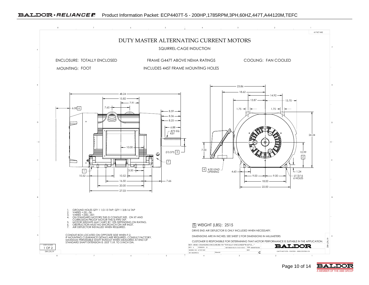

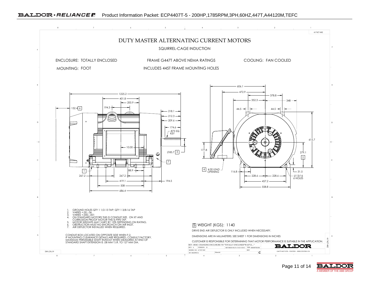



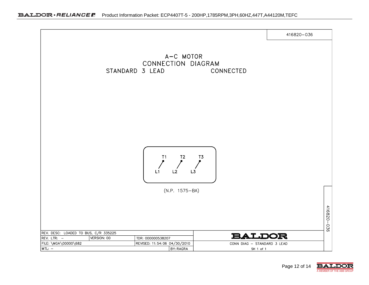

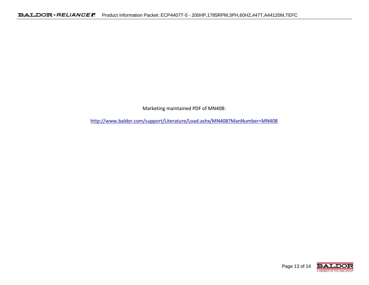Marketing maintained PDF of MN408:

http://www.baldor.com/support/Literature/Load.ashx/MN408?ManNumber=MN408